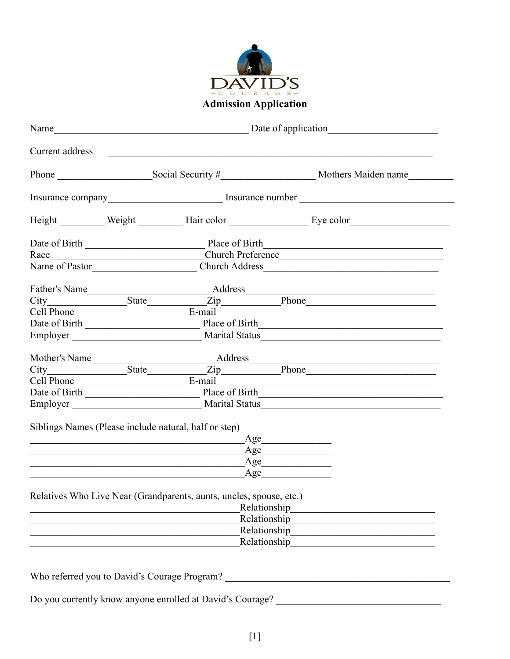

| Current address |                                                                     | <u> 1989 - Jan Barbara, martxa al III-lea (h. 1989).</u>                                                                                                                                                                             |  |  |  |
|-----------------|---------------------------------------------------------------------|--------------------------------------------------------------------------------------------------------------------------------------------------------------------------------------------------------------------------------------|--|--|--|
|                 |                                                                     |                                                                                                                                                                                                                                      |  |  |  |
|                 |                                                                     |                                                                                                                                                                                                                                      |  |  |  |
|                 |                                                                     | Height Weight Hair color Eye color                                                                                                                                                                                                   |  |  |  |
|                 |                                                                     |                                                                                                                                                                                                                                      |  |  |  |
|                 |                                                                     |                                                                                                                                                                                                                                      |  |  |  |
|                 |                                                                     |                                                                                                                                                                                                                                      |  |  |  |
|                 |                                                                     | <u> 1990 - Johann John Stoff, mars et al. 1990 - John Stoff, mars et al. 1991 - John Stoff, mars et al. 1991 - John Stoff, mars et al. 1991 - John Stoff, mars et al. 1991 - John Stoff, mars et al. 1991 - John Stoff, mars et </u> |  |  |  |
|                 |                                                                     | City State Zip Phone                                                                                                                                                                                                                 |  |  |  |
|                 |                                                                     |                                                                                                                                                                                                                                      |  |  |  |
|                 |                                                                     |                                                                                                                                                                                                                                      |  |  |  |
|                 |                                                                     | Employer Marital Status Marital Status Marital Status Marital Status Marital Status Marital Status Marital Status                                                                                                                    |  |  |  |
| Mother's Name   |                                                                     |                                                                                                                                                                                                                                      |  |  |  |
|                 |                                                                     |                                                                                                                                                                                                                                      |  |  |  |
|                 | Cell Phone E-mail                                                   |                                                                                                                                                                                                                                      |  |  |  |
|                 |                                                                     |                                                                                                                                                                                                                                      |  |  |  |
|                 |                                                                     |                                                                                                                                                                                                                                      |  |  |  |
|                 | Siblings Names (Please include natural, half or step)<br>$\rm Age$  | Age                                                                                                                                                                                                                                  |  |  |  |
|                 | Age                                                                 |                                                                                                                                                                                                                                      |  |  |  |
|                 |                                                                     | Age                                                                                                                                                                                                                                  |  |  |  |
|                 | Relatives Who Live Near (Grandparents, aunts, uncles, spouse, etc.) | Relationship                                                                                                                                                                                                                         |  |  |  |
|                 |                                                                     | Relationship                                                                                                                                                                                                                         |  |  |  |
|                 |                                                                     |                                                                                                                                                                                                                                      |  |  |  |
|                 |                                                                     | Relationship                                                                                                                                                                                                                         |  |  |  |

Do you currently know anyone enrolled at David's Courage? \_\_\_\_\_\_\_\_\_\_\_\_\_\_\_\_\_\_\_\_\_\_\_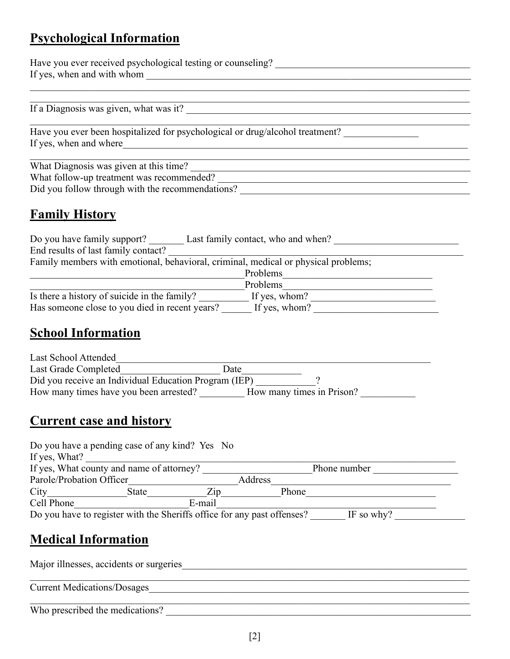## **Psychological Information**

Have you ever received psychological testing or counseling? \_\_\_\_\_\_\_\_\_\_\_\_\_\_\_\_\_\_\_\_\_\_\_\_\_\_\_\_\_\_\_\_\_\_\_\_\_\_\_ If yes, when and with whom \_\_\_\_\_\_\_\_\_\_\_\_\_\_\_\_\_\_\_\_\_\_\_\_\_\_\_\_\_\_\_\_\_\_\_\_\_\_\_\_\_\_\_\_\_\_\_\_\_\_\_\_\_\_\_\_\_\_\_\_\_\_\_\_\_

If a Diagnosis was given, what was it?

Have you ever been hospitalized for psychological or drug/alcohol treatment? \_\_\_\_\_\_\_\_\_\_\_\_\_\_\_\_\_\_\_\_\_\_\_\_\_\_\_\_\_\_\_\_\_ If yes, when and where\_\_\_\_\_\_\_\_\_\_\_\_\_\_\_\_\_\_\_\_\_\_\_\_\_\_\_\_\_\_\_\_\_\_\_\_\_\_\_\_\_\_\_\_\_\_\_\_\_\_\_\_\_\_\_\_\_\_\_\_\_\_\_\_\_\_\_\_\_

What Diagnosis was given at this time? What follow-up treatment was recommended? \_\_\_\_\_\_\_\_\_\_\_\_\_\_\_\_\_\_\_\_\_\_\_\_\_\_\_\_\_\_\_\_\_\_\_\_\_\_\_\_\_\_\_\_\_\_\_\_\_\_ Did you follow through with the recommendations?

\_\_\_\_\_\_\_\_\_\_\_\_\_\_\_\_\_\_\_\_\_\_\_\_\_\_\_\_\_\_\_\_\_\_\_\_\_\_\_\_\_\_\_\_\_\_\_\_\_\_\_\_\_\_\_\_\_\_\_\_\_\_\_\_\_\_\_\_\_\_\_\_\_\_\_\_\_\_\_\_\_\_\_\_\_\_\_\_

# **Family History**

| Last family contact, who and when?<br>Do you have family support?                  |               |  |  |  |
|------------------------------------------------------------------------------------|---------------|--|--|--|
| End results of last family contact?                                                |               |  |  |  |
| Family members with emotional, behavioral, criminal, medical or physical problems; |               |  |  |  |
|                                                                                    | Problems      |  |  |  |
|                                                                                    | Problems      |  |  |  |
| Is there a history of suicide in the family?                                       | If yes, whom? |  |  |  |
| Has someone close to you died in recent years?                                     | If yes, whom? |  |  |  |

### **School Information**

| Last School Attended                                  |                           |  |
|-------------------------------------------------------|---------------------------|--|
| Last Grade Completed                                  | Date                      |  |
| Did you receive an Individual Education Program (IEP) |                           |  |
| How many times have you been arrested?                | How many times in Prison? |  |

#### **Current case and history**

| Do you have a pending case of any kind? Yes No                          |       |        |                   |         |       |            |
|-------------------------------------------------------------------------|-------|--------|-------------------|---------|-------|------------|
| If yes, What?                                                           |       |        |                   |         |       |            |
| If yes, What county and name of attorney?                               |       |        | Phone number      |         |       |            |
| Parole/Probation Officer                                                |       |        |                   | Address |       |            |
| City                                                                    | State |        | $\overline{Z}$ ip |         | Phone |            |
| Cell Phone                                                              |       | E-mail |                   |         |       |            |
| Do you have to register with the Sheriffs office for any past offenses? |       |        |                   |         |       | IF so why? |

# **Medical Information**

Major illnesses, accidents or surgeries\_\_\_\_\_\_\_\_\_\_\_\_\_\_\_\_\_\_\_\_\_\_\_\_\_\_\_\_\_\_\_\_\_\_\_\_\_\_\_\_\_\_\_\_\_\_\_\_\_\_\_\_\_\_\_\_\_

Current Medications/Dosages

Who prescribed the medications?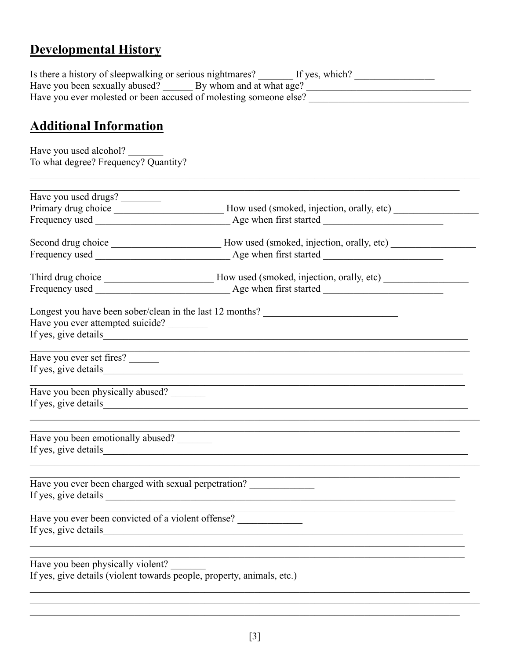# **Developmental History**

| Is there a history of sleepwalking or serious nightmares?         | If yes, which? |
|-------------------------------------------------------------------|----------------|
| Have you been sexually abused? By whom and at what age?           |                |
| Have you ever molested or been accused of molesting someone else? |                |

# **Additional Information**

Have you used alcohol?<br>To what degree? Frequency? Quantity?

| Have you used drugs?                                                   |                                                                                   |  |
|------------------------------------------------------------------------|-----------------------------------------------------------------------------------|--|
|                                                                        |                                                                                   |  |
|                                                                        | Frequency used Age when first started                                             |  |
|                                                                        |                                                                                   |  |
|                                                                        |                                                                                   |  |
|                                                                        |                                                                                   |  |
|                                                                        |                                                                                   |  |
|                                                                        | Longest you have been sober/clean in the last 12 months? ________________________ |  |
| Have you ever attempted suicide?                                       |                                                                                   |  |
|                                                                        |                                                                                   |  |
| Have you ever set fires?                                               |                                                                                   |  |
|                                                                        |                                                                                   |  |
| Have you been physically abused?                                       |                                                                                   |  |
|                                                                        | If yes, give details                                                              |  |
| Have you been emotionally abused?                                      | If yes, give details                                                              |  |
|                                                                        |                                                                                   |  |
|                                                                        | Have you ever been charged with sexual perpetration?                              |  |
|                                                                        |                                                                                   |  |
| Have you ever been convicted of a violent offense?                     |                                                                                   |  |
|                                                                        |                                                                                   |  |
| Have you been physically violent?                                      |                                                                                   |  |
| If yes, give details (violent towards people, property, animals, etc.) |                                                                                   |  |
|                                                                        |                                                                                   |  |